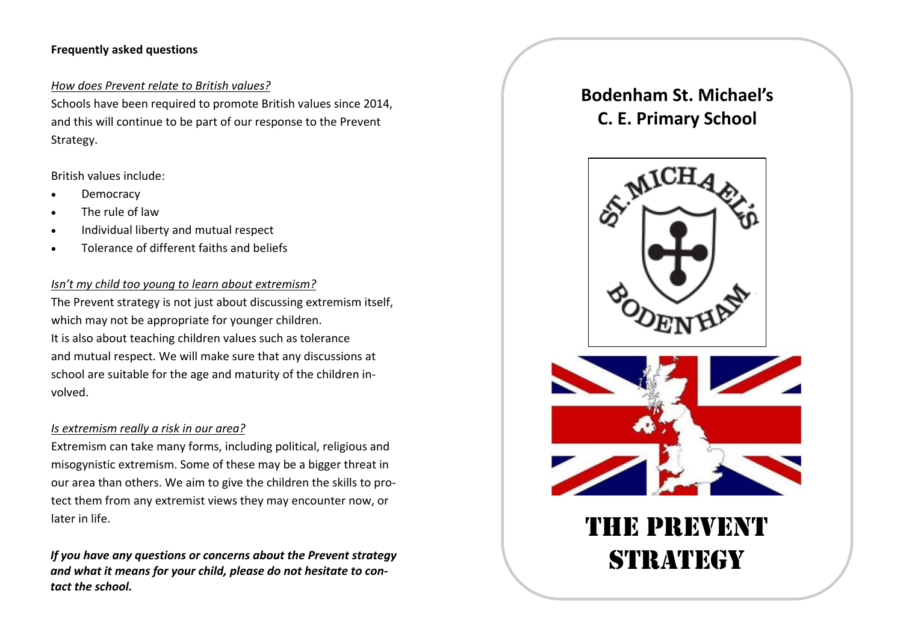## **Frequently asked questions**

### *How does Prevent relate to British values?*

Schools have been required to promote British values since 2014, and this will continue to be part of our response to the Prevent Strategy.

### British values include:

- Democracy
- The rule of law
- Individual liberty and mutual respect
- Tolerance of different faiths and beliefs

## *Isn't my child too young to learn about extremism?*

The Prevent strategy is not just about discussing extremism itself, which may not be appropriate for younger children. It is also about teaching children values such as tolerance and mutual respect. We will make sure that any discussions at school are suitable for the age and maturity of the children in‐ volved.

### *Is extremism really <sup>a</sup> risk in our area?*

Extremism can take many forms, including political, religious and misogynistic extremism. Some of these may be <sup>a</sup> bigger threat in our area than others. We aim to give the children the skills to pro‐ tect them from any extremist views they may encounter now, or later in life.

*If you have any questions or concerns about the Prevent strategy and what it means for your child, please do not hesitate to con‐ tact the school.*

# **Bodenham St. Michael's C. E. Primary School**